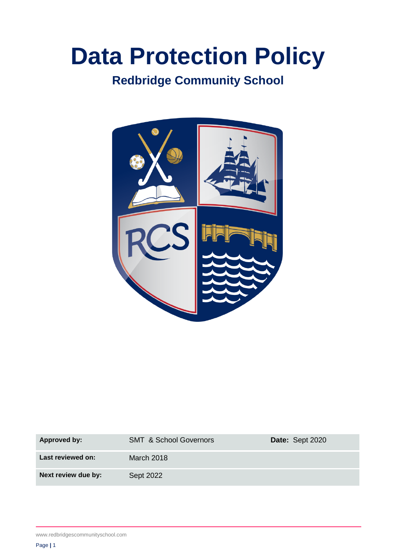# **Data Protection Policy**

## **Redbridge Community School**



| <b>Approved by:</b> | <b>SMT &amp; School Governors</b> | Date: Sept 2020 |
|---------------------|-----------------------------------|-----------------|
| Last reviewed on:   | March 2018                        |                 |
| Next review due by: | Sept 2022                         |                 |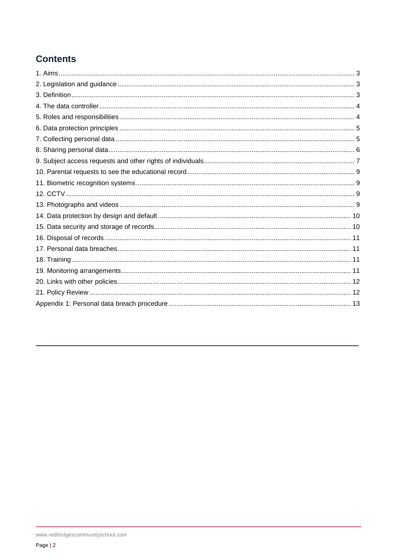## **Contents**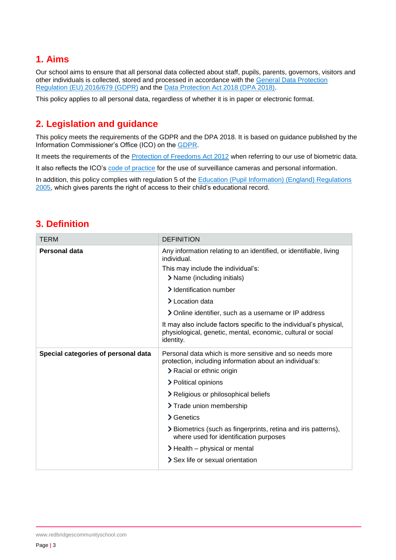## <span id="page-2-0"></span>**1. Aims**

Our school aims to ensure that all personal data collected about staff, pupils, parents, governors, visitors and other individuals is collected, stored and processed in accordance with the [General Data Protection](https://eur-lex.europa.eu/legal-content/EN/TXT/?qid=1528874672298&uri=CELEX:02016R0679-20160504)  Regulation [\(EU\) 2016/679](https://eur-lex.europa.eu/legal-content/EN/TXT/?qid=1528874672298&uri=CELEX:02016R0679-20160504) (GDPR) and the [Data Protection Act 2018 \(DPA 2018\).](http://www.legislation.gov.uk/ukpga/2018/12/contents/enacted)

This policy applies to all personal data, regardless of whether it is in paper or electronic format.

## <span id="page-2-1"></span>**2. Legislation and guidance**

This policy meets the requirements of the GDPR and the DPA 2018. It is based on guidance published by the Information Commissioner's Office (ICO) on the [GDPR.](https://ico.org.uk/for-organisations/guide-to-the-general-data-protection-regulation-gdpr/)

It meets the requirements of the [Protection of Freedoms Act 2012](https://www.legislation.gov.uk/ukpga/2012/9/part/1/chapter/2) when referring to our use of biometric data.

It also reflects the ICO's [code of practice](https://ico.org.uk/media/for-organisations/documents/1542/cctv-code-of-practice.pdf) for the use of surveillance cameras and personal information.

In addition, this policy complies with regulation 5 of the Education (Pupil Information) (England) Regulations [2005,](http://www.legislation.gov.uk/uksi/2005/1437/regulation/5/made) which gives parents the right of access to their child's educational record.

## <span id="page-2-2"></span>**3. Definition**

| <b>TERM</b>                         | <b>DEFINITION</b>                                                                                                                                      |
|-------------------------------------|--------------------------------------------------------------------------------------------------------------------------------------------------------|
| <b>Personal data</b>                | Any information relating to an identified, or identifiable, living<br>individual.                                                                      |
|                                     | This may include the individual's:                                                                                                                     |
|                                     | > Name (including initials)                                                                                                                            |
|                                     | > Identification number                                                                                                                                |
|                                     | > Location data                                                                                                                                        |
|                                     | > Online identifier, such as a username or IP address                                                                                                  |
|                                     | It may also include factors specific to the individual's physical,<br>physiological, genetic, mental, economic, cultural or social<br><i>identity.</i> |
| Special categories of personal data | Personal data which is more sensitive and so needs more<br>protection, including information about an individual's:<br>> Racial or ethnic origin       |
|                                     | > Political opinions                                                                                                                                   |
|                                     | > Religious or philosophical beliefs                                                                                                                   |
|                                     | > Trade union membership                                                                                                                               |
|                                     | > Genetics                                                                                                                                             |
|                                     | > Biometrics (such as fingerprints, retina and iris patterns),<br>where used for identification purposes                                               |
|                                     | $\blacktriangleright$ Health – physical or mental                                                                                                      |
|                                     | > Sex life or sexual orientation                                                                                                                       |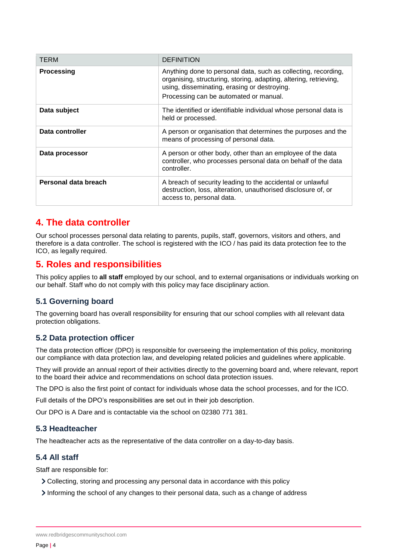| <b>TERM</b>          | <b>DEFINITION</b>                                                                                                                                                                                                             |
|----------------------|-------------------------------------------------------------------------------------------------------------------------------------------------------------------------------------------------------------------------------|
| <b>Processing</b>    | Anything done to personal data, such as collecting, recording,<br>organising, structuring, storing, adapting, altering, retrieving,<br>using, disseminating, erasing or destroying.<br>Processing can be automated or manual. |
| Data subject         | The identified or identifiable individual whose personal data is<br>held or processed.                                                                                                                                        |
| Data controller      | A person or organisation that determines the purposes and the<br>means of processing of personal data.                                                                                                                        |
| Data processor       | A person or other body, other than an employee of the data<br>controller, who processes personal data on behalf of the data<br>controller.                                                                                    |
| Personal data breach | A breach of security leading to the accidental or unlawful<br>destruction, loss, alteration, unauthorised disclosure of, or<br>access to, personal data.                                                                      |

## <span id="page-3-0"></span>**4. The data controller**

Our school processes personal data relating to parents, pupils, staff, governors, visitors and others, and therefore is a data controller. The school is registered with the ICO / has paid its data protection fee to the ICO, as legally required.

## <span id="page-3-1"></span>**5. Roles and responsibilities**

This policy applies to **all staff** employed by our school, and to external organisations or individuals working on our behalf. Staff who do not comply with this policy may face disciplinary action.

#### **5.1 Governing board**

The governing board has overall responsibility for ensuring that our school complies with all relevant data protection obligations.

#### **5.2 Data protection officer**

The data protection officer (DPO) is responsible for overseeing the implementation of this policy, monitoring our compliance with data protection law, and developing related policies and guidelines where applicable.

They will provide an annual report of their activities directly to the governing board and, where relevant, report to the board their advice and recommendations on school data protection issues.

The DPO is also the first point of contact for individuals whose data the school processes, and for the ICO.

Full details of the DPO's responsibilities are set out in their job description.

Our DPO is A Dare and is contactable via the school on 02380 771 381.

#### **5.3 Headteacher**

The headteacher acts as the representative of the data controller on a day-to-day basis.

#### **5.4 All staff**

Staff are responsible for:

- Collecting, storing and processing any personal data in accordance with this policy
- Informing the school of any changes to their personal data, such as a change of address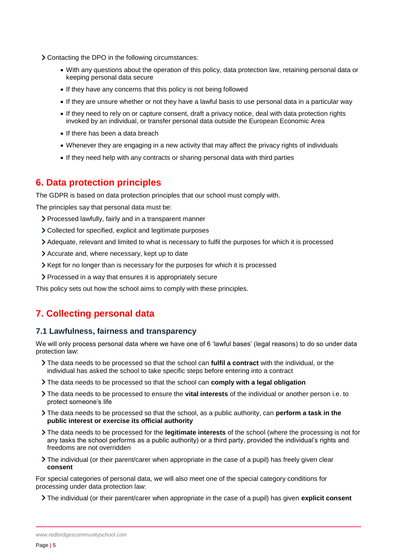- Contacting the DPO in the following circumstances:
	- With any questions about the operation of this policy, data protection law, retaining personal data or keeping personal data secure
	- If they have any concerns that this policy is not being followed
	- If they are unsure whether or not they have a lawful basis to use personal data in a particular way
	- If they need to rely on or capture consent, draft a privacy notice, deal with data protection rights invoked by an individual, or transfer personal data outside the European Economic Area
	- If there has been a data breach
	- Whenever they are engaging in a new activity that may affect the privacy rights of individuals
	- If they need help with any contracts or sharing personal data with third parties

## <span id="page-4-0"></span>**6. Data protection principles**

The GDPR is based on data protection principles that our school must comply with.

The principles say that personal data must be:

- Processed lawfully, fairly and in a transparent manner
- Collected for specified, explicit and legitimate purposes
- Adequate, relevant and limited to what is necessary to fulfil the purposes for which it is processed
- Accurate and, where necessary, kept up to date
- Kept for no longer than is necessary for the purposes for which it is processed
- Processed in a way that ensures it is appropriately secure

This policy sets out how the school aims to comply with these principles.

## <span id="page-4-1"></span>**7. Collecting personal data**

#### **7.1 Lawfulness, fairness and transparency**

We will only process personal data where we have one of 6 'lawful bases' (legal reasons) to do so under data protection law:

- The data needs to be processed so that the school can **fulfil a contract** with the individual, or the individual has asked the school to take specific steps before entering into a contract
- The data needs to be processed so that the school can **comply with a legal obligation**
- The data needs to be processed to ensure the **vital interests** of the individual or another person i.e. to protect someone's life
- The data needs to be processed so that the school, as a public authority, can **perform a task in the public interest or exercise its official authority**
- The data needs to be processed for the **legitimate interests** of the school (where the processing is not for any tasks the school performs as a public authority) or a third party, provided the individual's rights and freedoms are not overridden
- The individual (or their parent/carer when appropriate in the case of a pupil) has freely given clear **consent**

For special categories of personal data, we will also meet one of the special category conditions for processing under data protection law:

The individual (or their parent/carer when appropriate in the case of a pupil) has given **explicit consent**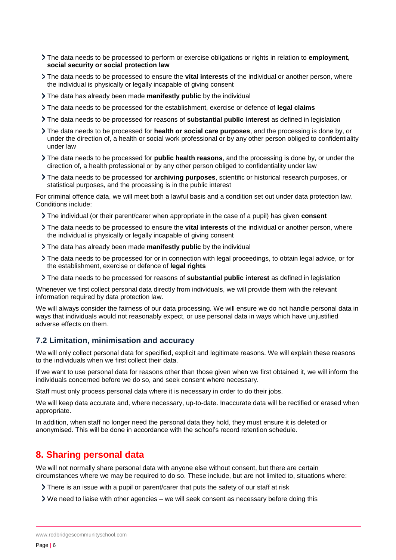- The data needs to be processed to perform or exercise obligations or rights in relation to **employment, social security or social protection law**
- The data needs to be processed to ensure the **vital interests** of the individual or another person, where the individual is physically or legally incapable of giving consent
- The data has already been made **manifestly public** by the individual
- The data needs to be processed for the establishment, exercise or defence of **legal claims**
- The data needs to be processed for reasons of **substantial public interest** as defined in legislation
- The data needs to be processed for **health or social care purposes**, and the processing is done by, or under the direction of, a health or social work professional or by any other person obliged to confidentiality under law
- The data needs to be processed for **public health reasons**, and the processing is done by, or under the direction of, a health professional or by any other person obliged to confidentiality under law
- The data needs to be processed for **archiving purposes**, scientific or historical research purposes, or statistical purposes, and the processing is in the public interest

For criminal offence data, we will meet both a lawful basis and a condition set out under data protection law. Conditions include:

- The individual (or their parent/carer when appropriate in the case of a pupil) has given **consent**
- The data needs to be processed to ensure the **vital interests** of the individual or another person, where the individual is physically or legally incapable of giving consent
- The data has already been made **manifestly public** by the individual
- The data needs to be processed for or in connection with legal proceedings, to obtain legal advice, or for the establishment, exercise or defence of **legal rights**
- The data needs to be processed for reasons of **substantial public interest** as defined in legislation

Whenever we first collect personal data directly from individuals, we will provide them with the relevant information required by data protection law.

We will always consider the fairness of our data processing. We will ensure we do not handle personal data in ways that individuals would not reasonably expect, or use personal data in ways which have unjustified adverse effects on them.

#### **7.2 Limitation, minimisation and accuracy**

We will only collect personal data for specified, explicit and legitimate reasons. We will explain these reasons to the individuals when we first collect their data.

If we want to use personal data for reasons other than those given when we first obtained it, we will inform the individuals concerned before we do so, and seek consent where necessary.

Staff must only process personal data where it is necessary in order to do their jobs.

We will keep data accurate and, where necessary, up-to-date. Inaccurate data will be rectified or erased when appropriate.

In addition, when staff no longer need the personal data they hold, they must ensure it is deleted or anonymised. This will be done in accordance with the school's record retention schedule.

## <span id="page-5-0"></span>**8. Sharing personal data**

We will not normally share personal data with anyone else without consent, but there are certain circumstances where we may be required to do so. These include, but are not limited to, situations where:

- There is an issue with a pupil or parent/carer that puts the safety of our staff at risk
- $\triangleright$  We need to liaise with other agencies we will seek consent as necessary before doing this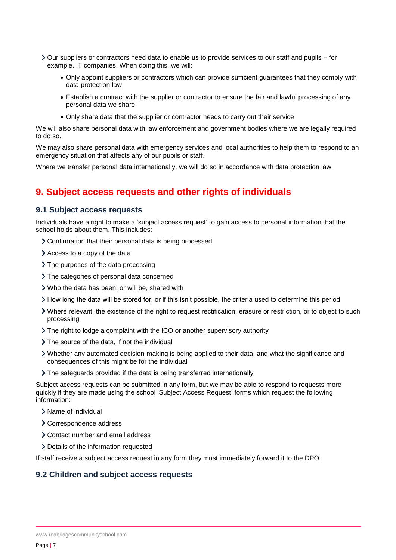- Our suppliers or contractors need data to enable us to provide services to our staff and pupils for example, IT companies. When doing this, we will:
	- Only appoint suppliers or contractors which can provide sufficient guarantees that they comply with data protection law
	- Establish a contract with the supplier or contractor to ensure the fair and lawful processing of any personal data we share
	- Only share data that the supplier or contractor needs to carry out their service

We will also share personal data with law enforcement and government bodies where we are legally required to do so.

We may also share personal data with emergency services and local authorities to help them to respond to an emergency situation that affects any of our pupils or staff.

Where we transfer personal data internationally, we will do so in accordance with data protection law.

## <span id="page-6-0"></span>**9. Subject access requests and other rights of individuals**

#### **9.1 Subject access requests**

Individuals have a right to make a 'subject access request' to gain access to personal information that the school holds about them. This includes:

- Confirmation that their personal data is being processed
- Access to a copy of the data
- > The purposes of the data processing
- > The categories of personal data concerned
- Who the data has been, or will be, shared with
- How long the data will be stored for, or if this isn't possible, the criteria used to determine this period
- Where relevant, the existence of the right to request rectification, erasure or restriction, or to object to such processing
- The right to lodge a complaint with the ICO or another supervisory authority
- > The source of the data, if not the individual
- Whether any automated decision-making is being applied to their data, and what the significance and consequences of this might be for the individual
- The safeguards provided if the data is being transferred internationally

Subject access requests can be submitted in any form, but we may be able to respond to requests more quickly if they are made using the school 'Subject Access Request' forms which request the following information:

- Name of individual
- Correspondence address
- Contact number and email address
- > Details of the information requested

If staff receive a subject access request in any form they must immediately forward it to the DPO.

#### **9.2 Children and subject access requests**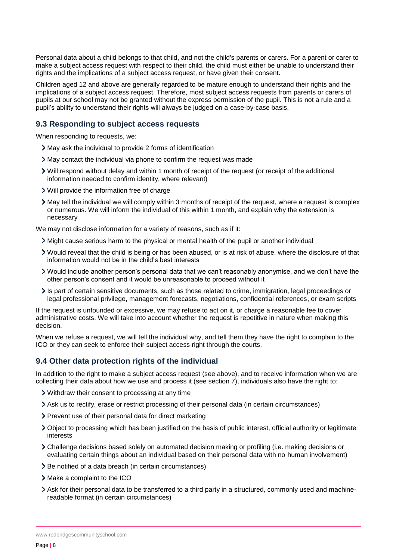Personal data about a child belongs to that child, and not the child's parents or carers. For a parent or carer to make a subject access request with respect to their child, the child must either be unable to understand their rights and the implications of a subject access request, or have given their consent.

Children aged 12 and above are generally regarded to be mature enough to understand their rights and the implications of a subject access request. Therefore, most subject access requests from parents or carers of pupils at our school may not be granted without the express permission of the pupil. This is not a rule and a pupil's ability to understand their rights will always be judged on a case-by-case basis.

#### **9.3 Responding to subject access requests**

When responding to requests, we:

- May ask the individual to provide 2 forms of identification
- May contact the individual via phone to confirm the request was made
- Will respond without delay and within 1 month of receipt of the request (or receipt of the additional information needed to confirm identity, where relevant)
- Will provide the information free of charge
- May tell the individual we will comply within 3 months of receipt of the request, where a request is complex or numerous. We will inform the individual of this within 1 month, and explain why the extension is necessary

We may not disclose information for a variety of reasons, such as if it:

- Might cause serious harm to the physical or mental health of the pupil or another individual
- Would reveal that the child is being or has been abused, or is at risk of abuse, where the disclosure of that information would not be in the child's best interests
- Would include another person's personal data that we can't reasonably anonymise, and we don't have the other person's consent and it would be unreasonable to proceed without it
- Is part of certain sensitive documents, such as those related to crime, immigration, legal proceedings or legal professional privilege, management forecasts, negotiations, confidential references, or exam scripts

If the request is unfounded or excessive, we may refuse to act on it, or charge a reasonable fee to cover administrative costs. We will take into account whether the request is repetitive in nature when making this decision.

When we refuse a request, we will tell the individual why, and tell them they have the right to complain to the ICO or they can seek to enforce their subject access right through the courts.

#### **9.4 Other data protection rights of the individual**

In addition to the right to make a subject access request (see above), and to receive information when we are collecting their data about how we use and process it (see section 7), individuals also have the right to:

- Withdraw their consent to processing at any time
- Ask us to rectify, erase or restrict processing of their personal data (in certain circumstances)
- Prevent use of their personal data for direct marketing
- Object to processing which has been justified on the basis of public interest, official authority or legitimate interests
- Challenge decisions based solely on automated decision making or profiling (i.e. making decisions or evaluating certain things about an individual based on their personal data with no human involvement)
- > Be notified of a data breach (in certain circumstances)
- Make a complaint to the ICO
- Ask for their personal data to be transferred to a third party in a structured, commonly used and machinereadable format (in certain circumstances)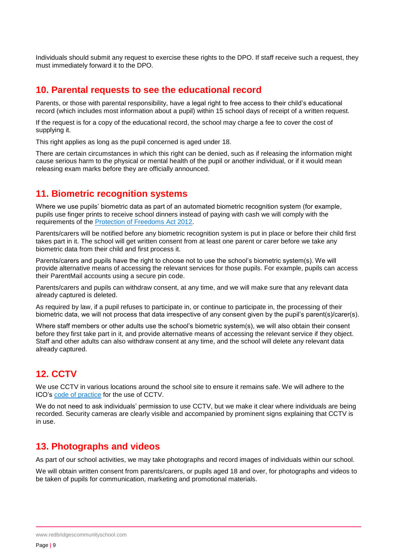Individuals should submit any request to exercise these rights to the DPO. If staff receive such a request, they must immediately forward it to the DPO.

#### <span id="page-8-0"></span>**10. Parental requests to see the educational record**

Parents, or those with parental responsibility, have a legal right to free access to their child's educational record (which includes most information about a pupil) within 15 school days of receipt of a written request.

If the request is for a copy of the educational record, the school may charge a fee to cover the cost of supplying it.

This right applies as long as the pupil concerned is aged under 18.

There are certain circumstances in which this right can be denied, such as if releasing the information might cause serious harm to the physical or mental health of the pupil or another individual, or if it would mean releasing exam marks before they are officially announced.

#### <span id="page-8-1"></span>**11. Biometric recognition systems**

Where we use pupils' biometric data as part of an automated biometric recognition system (for example, pupils use finger prints to receive school dinners instead of paying with cash we will comply with the requirements of the [Protection of Freedoms Act 2012.](https://www.legislation.gov.uk/ukpga/2012/9/section/26)

Parents/carers will be notified before any biometric recognition system is put in place or before their child first takes part in it. The school will get written consent from at least one parent or carer before we take any biometric data from their child and first process it.

Parents/carers and pupils have the right to choose not to use the school's biometric system(s). We will provide alternative means of accessing the relevant services for those pupils. For example, pupils can access their ParentMail accounts using a secure pin code.

Parents/carers and pupils can withdraw consent, at any time, and we will make sure that any relevant data already captured is deleted.

As required by law, if a pupil refuses to participate in, or continue to participate in, the processing of their biometric data, we will not process that data irrespective of any consent given by the pupil's parent(s)/carer(s).

Where staff members or other adults use the school's biometric system(s), we will also obtain their consent before they first take part in it, and provide alternative means of accessing the relevant service if they object. Staff and other adults can also withdraw consent at any time, and the school will delete any relevant data already captured.

## <span id="page-8-2"></span>**12. CCTV**

We use CCTV in various locations around the school site to ensure it remains safe. We will adhere to the ICO's [code of practice](https://ico.org.uk/media/for-organisations/documents/1542/cctv-code-of-practice.pdf) for the use of CCTV.

We do not need to ask individuals' permission to use CCTV, but we make it clear where individuals are being recorded. Security cameras are clearly visible and accompanied by prominent signs explaining that CCTV is in use.

## <span id="page-8-3"></span>**13. Photographs and videos**

As part of our school activities, we may take photographs and record images of individuals within our school.

We will obtain written consent from parents/carers, or pupils aged 18 and over, for photographs and videos to be taken of pupils for communication, marketing and promotional materials.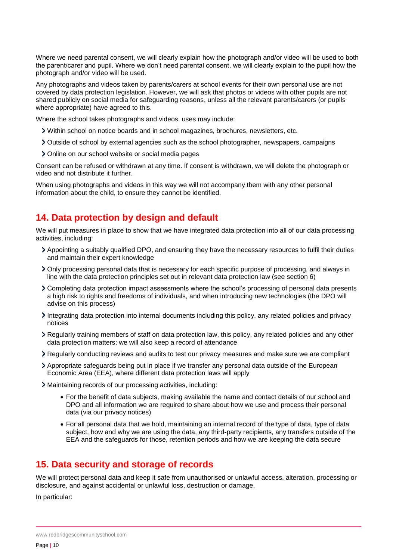Where we need parental consent, we will clearly explain how the photograph and/or video will be used to both the parent/carer and pupil. Where we don't need parental consent, we will clearly explain to the pupil how the photograph and/or video will be used.

Any photographs and videos taken by parents/carers at school events for their own personal use are not covered by data protection legislation. However, we will ask that photos or videos with other pupils are not shared publicly on social media for safeguarding reasons, unless all the relevant parents/carers (or pupils where appropriate) have agreed to this.

Where the school takes photographs and videos, uses may include:

- Within school on notice boards and in school magazines, brochures, newsletters, etc.
- Outside of school by external agencies such as the school photographer, newspapers, campaigns
- Online on our school website or social media pages

Consent can be refused or withdrawn at any time. If consent is withdrawn, we will delete the photograph or video and not distribute it further.

When using photographs and videos in this way we will not accompany them with any other personal information about the child, to ensure they cannot be identified.

## <span id="page-9-0"></span>**14. Data protection by design and default**

We will put measures in place to show that we have integrated data protection into all of our data processing activities, including:

- Appointing a suitably qualified DPO, and ensuring they have the necessary resources to fulfil their duties and maintain their expert knowledge
- Only processing personal data that is necessary for each specific purpose of processing, and always in line with the data protection principles set out in relevant data protection law (see section 6)
- Completing data protection impact assessments where the school's processing of personal data presents a high risk to rights and freedoms of individuals, and when introducing new technologies (the DPO will advise on this process)
- Integrating data protection into internal documents including this policy, any related policies and privacy notices
- Regularly training members of staff on data protection law, this policy, any related policies and any other data protection matters; we will also keep a record of attendance
- Regularly conducting reviews and audits to test our privacy measures and make sure we are compliant
- Appropriate safeguards being put in place if we transfer any personal data outside of the European Economic Area (EEA), where different data protection laws will apply
- Maintaining records of our processing activities, including:
	- For the benefit of data subjects, making available the name and contact details of our school and DPO and all information we are required to share about how we use and process their personal data (via our privacy notices)
	- For all personal data that we hold, maintaining an internal record of the type of data, type of data subject, how and why we are using the data, any third-party recipients, any transfers outside of the EEA and the safeguards for those, retention periods and how we are keeping the data secure

## <span id="page-9-1"></span>**15. Data security and storage of records**

We will protect personal data and keep it safe from unauthorised or unlawful access, alteration, processing or disclosure, and against accidental or unlawful loss, destruction or damage.

In particular:

www.redbridgescommunityschool.com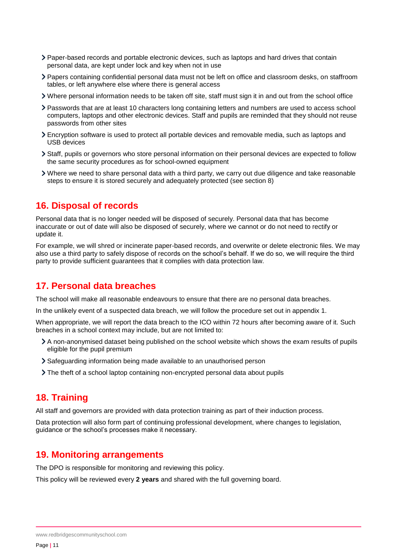- Paper-based records and portable electronic devices, such as laptops and hard drives that contain personal data, are kept under lock and key when not in use
- Papers containing confidential personal data must not be left on office and classroom desks, on staffroom tables, or left anywhere else where there is general access
- Where personal information needs to be taken off site, staff must sign it in and out from the school office
- Passwords that are at least 10 characters long containing letters and numbers are used to access school computers, laptops and other electronic devices. Staff and pupils are reminded that they should not reuse passwords from other sites
- Encryption software is used to protect all portable devices and removable media, such as laptops and USB devices
- Staff, pupils or governors who store personal information on their personal devices are expected to follow the same security procedures as for school-owned equipment
- Where we need to share personal data with a third party, we carry out due diligence and take reasonable steps to ensure it is stored securely and adequately protected (see section 8)

## <span id="page-10-0"></span>**16. Disposal of records**

Personal data that is no longer needed will be disposed of securely. Personal data that has become inaccurate or out of date will also be disposed of securely, where we cannot or do not need to rectify or update it.

For example, we will shred or incinerate paper-based records, and overwrite or delete electronic files. We may also use a third party to safely dispose of records on the school's behalf. If we do so, we will require the third party to provide sufficient guarantees that it complies with data protection law.

## <span id="page-10-1"></span>**17. Personal data breaches**

The school will make all reasonable endeavours to ensure that there are no personal data breaches.

In the unlikely event of a suspected data breach, we will follow the procedure set out in appendix 1.

When appropriate, we will report the data breach to the ICO within 72 hours after becoming aware of it. Such breaches in a school context may include, but are not limited to:

- A non-anonymised dataset being published on the school website which shows the exam results of pupils eligible for the pupil premium
- Safeguarding information being made available to an unauthorised person
- The theft of a school laptop containing non-encrypted personal data about pupils

## <span id="page-10-2"></span>**18. Training**

All staff and governors are provided with data protection training as part of their induction process.

Data protection will also form part of continuing professional development, where changes to legislation, guidance or the school's processes make it necessary.

## <span id="page-10-3"></span>**19. Monitoring arrangements**

The DPO is responsible for monitoring and reviewing this policy.

This policy will be reviewed every **2 years** and shared with the full governing board.

www.redbridgescommunityschool.com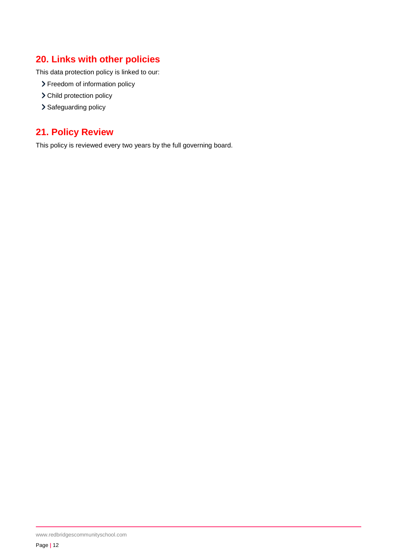## <span id="page-11-0"></span>**20. Links with other policies**

This data protection policy is linked to our:

- > Freedom of information policy
- > Child protection policy
- > Safeguarding policy

## <span id="page-11-1"></span>**21. Policy Review**

This policy is reviewed every two years by the full governing board.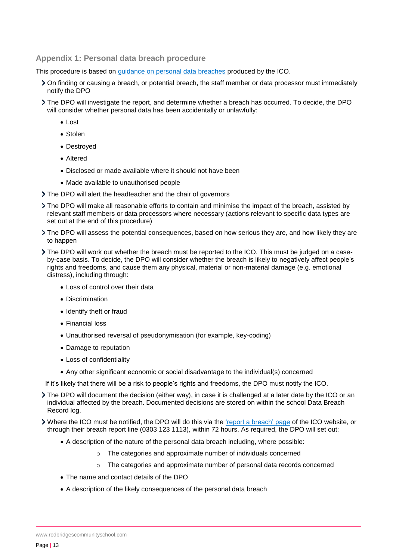#### <span id="page-12-0"></span>**Appendix 1: Personal data breach procedure**

This procedure is based on [guidance on personal data breaches](https://ico.org.uk/for-organisations/guide-to-the-general-data-protection-regulation-gdpr/personal-data-breaches/) produced by the ICO.

- On finding or causing a breach, or potential breach, the staff member or data processor must immediately notify the DPO
- The DPO will investigate the report, and determine whether a breach has occurred. To decide, the DPO will consider whether personal data has been accidentally or unlawfully:
	- Lost
	- Stolen
	- Destroyed
	- Altered
	- Disclosed or made available where it should not have been
	- Made available to unauthorised people
- The DPO will alert the headteacher and the chair of governors
- The DPO will make all reasonable efforts to contain and minimise the impact of the breach, assisted by relevant staff members or data processors where necessary (actions relevant to specific data types are set out at the end of this procedure)
- The DPO will assess the potential consequences, based on how serious they are, and how likely they are to happen
- The DPO will work out whether the breach must be reported to the ICO. This must be judged on a caseby-case basis. To decide, the DPO will consider whether the breach is likely to negatively affect people's rights and freedoms, and cause them any physical, material or non-material damage (e.g. emotional distress), including through:
	- Loss of control over their data
	- Discrimination
	- Identify theft or fraud
	- Financial loss
	- Unauthorised reversal of pseudonymisation (for example, key-coding)
	- Damage to reputation
	- Loss of confidentiality
	- Any other significant economic or social disadvantage to the individual(s) concerned
- If it's likely that there will be a risk to people's rights and freedoms, the DPO must notify the ICO.
- The DPO will document the decision (either way), in case it is challenged at a later date by the ICO or an individual affected by the breach. Documented decisions are stored on within the school Data Breach Record log.

Where the ICO must be notified, the DPO will do this via the ['report a breach' page](https://ico.org.uk/for-organisations/report-a-breach/) of the ICO website, or through their breach report line (0303 123 1113), within 72 hours. As required, the DPO will set out:

- A description of the nature of the personal data breach including, where possible:
	- o The categories and approximate number of individuals concerned
	- $\circ$  The categories and approximate number of personal data records concerned
- The name and contact details of the DPO
- A description of the likely consequences of the personal data breach